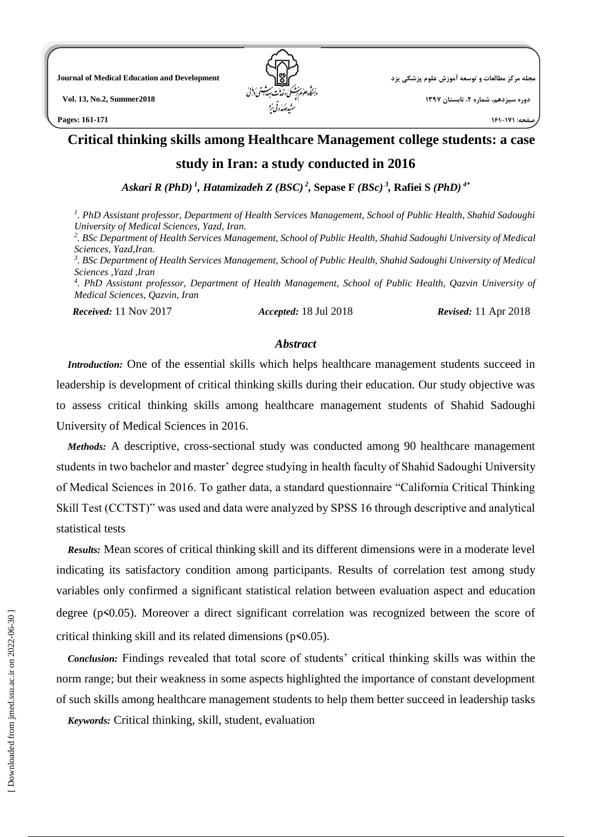مجله مرکز مطالعات و توسعه آموزش علوم پزشکی یزد **مطالعات و توسعه آموزش علوم پزشکی یزد** است. Journal of Medical Education and Development



## **Critical thinking skills among Healthcare Management college students: a case**

### **study in Iran: a study conducted in 2016**

*[Askari](http://jmed.ssu.ac.ir/search.php?slc_lang=en&sid=1&auth=Askari) R (PhD) 1 , [Hatamizadeh](http://jmed.ssu.ac.ir/search.php?slc_lang=en&sid=1&auth=Hatamizadeh) Z (BSC) 2 ,* **[Sepase](http://jmed.ssu.ac.ir/search.php?slc_lang=en&sid=1&auth=Sepase) F** *(BSc) 3 ,* **[Rafiei](http://jmed.ssu.ac.ir/search.php?slc_lang=en&sid=1&auth=Rafiei) S** *(PhD) 4\**

<sup>1</sup>. PhD Assistant professor, Department of Health Services Management, School of Public Health, Shahid Sadoughi *University of Medical Sciences, Yazd, Iran.*

*2 . BSc Department of Health Services Management, School of Public Health, Shahid Sadoughi University of Medical Sciences, Yazd,Iran.*

*3 . BSc Department of Health Services Management, School of Public Health, Shahid Sadoughi University of Medical Sciences ,Yazd ,Iran* 

*4 . PhD Assistant professor, Department of Health Management, School of Public Health, Qazvin University of Medical Sciences, Qazvin, Iran*

*Received:* 11 Nov 2017 *Accepted:* 18 Jul 2018 *Revised:* 11 Apr 2018

#### *Abstract*

*Introduction:* One of the essential skills which helps healthcare management students succeed in leadership is development of critical thinking skills during their education. Our study objective was to assess critical thinking skills among healthcare management students of Shahid Sadoughi University of Medical Sciences in 2016.

*Methods:* A descriptive, cross-sectional study was conducted among 90 healthcare management students in two bachelor and master' degree studying in health faculty of Shahid Sadoughi University of Medical Sciences in 2016. To gather data, a standard questionnaire "California Critical Thinking Skill Test (CCTST)" was used and data were analyzed by SPSS 16 through descriptive and analytical statistical tests

*Results:* Mean scores of critical thinking skill and its different dimensions were in a moderate level indicating its satisfactory condition among participants. Results of correlation test among study variables only confirmed a significant statistical relation between evaluation aspect and education degree (p<0.05). Moreover a direct significant correlation was recognized between the score of critical thinking skill and its related dimensions  $(p<0.05)$ .

*Conclusion:* Findings revealed that total score of students' critical thinking skills was within the norm range; but their weakness in some aspects highlighted the importance of constant development of such skills among healthcare management students to help them better succeed in leadership tasks

*Keywords:* Critical thinking, skill, student, evaluation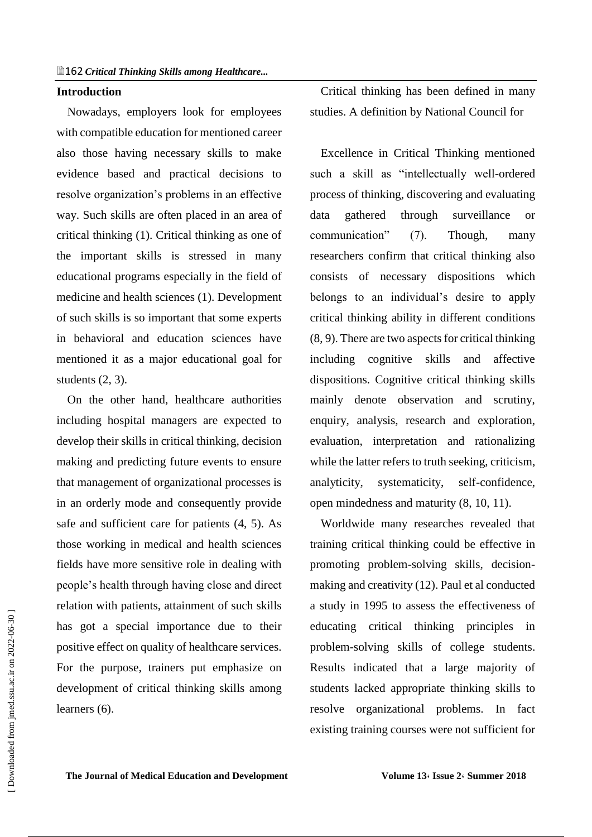#### **Introduction**

Nowadays, employers look for employees with compatible education for mentioned career also those having necessary skills to make evidence based and practical decisions to resolve organization's problems in an effective way. Such skills are often placed in an area of critical thinking (1). Critical thinking as one of the important skills is stressed in many educational programs especially in the field of medicine and health sciences (1). Development of such skills is so important that some experts in behavioral and education sciences have mentioned it as a major educational goal for students (2, 3).

On the other hand, healthcare authorities including hospital managers are expected to develop their skills in critical thinking, decision making and predicting future events to ensure that management of organizational processes is in an orderly mode and consequently provide safe and sufficient care for patients (4, 5). As those working in medical and health sciences fields have more sensitive role in dealing with people's health through having close and direct relation with patients, attainment of such skills has got a special importance due to their positive effect on quality of healthcare services. For the purpose, trainers put emphasize on development of critical thinking skills among learners (6).

Critical thinking has been defined in many studies. A definition by National Council for

Excellence in Critical Thinking mentioned such a skill as "intellectually well-ordered process of thinking, discovering and evaluating data gathered through surveillance or communication" (7). Though, many researchers confirm that critical thinking also consists of necessary dispositions which belongs to an individual's desire to apply critical thinking ability in different conditions (8, 9). There are two aspects for critical thinking including cognitive skills and affective dispositions. Cognitive critical thinking skills mainly denote observation and scrutiny, enquiry, analysis, research and exploration, evaluation, interpretation and rationalizing while the latter refers to truth seeking, criticism, analyticity, systematicity, self-confidence, open mindedness and maturity (8, 10, 11).

Worldwide many researches revealed that training critical thinking could be effective in promoting problem-solving skills, decisionmaking and creativity (12). Paul et al conducted a study in 1995 to assess the effectiveness of educating critical thinking principles in problem-solving skills of college students. Results indicated that a large majority of students lacked appropriate thinking skills to resolve organizational problems. In fact existing training courses were not sufficient for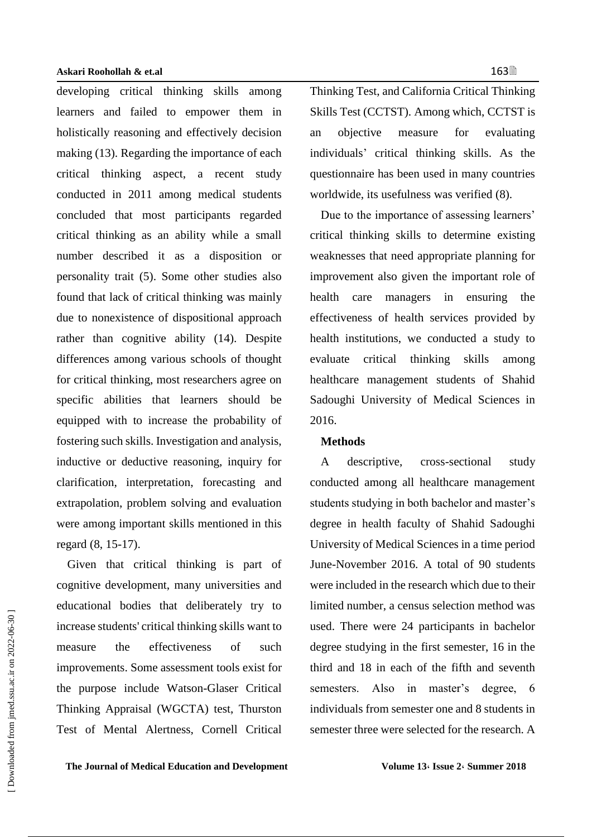#### **Askari Roohollah & et.al** 163

developing critical thinking skills among learners and failed to empower them in holistically reasoning and effectively decision making (13). Regarding the importance of each critical thinking aspect, a recent study conducted in 2011 among medical students concluded that most participants regarded critical thinking as an ability while a small number described it as a disposition or personality trait (5). Some other studies also found that lack of critical thinking was mainly due to nonexistence of dispositional approach rather than cognitive ability (14). Despite differences among various schools of thought for critical thinking, most researchers agree on specific abilities that learners should be equipped with to increase the probability of fostering such skills. Investigation and analysis, inductive or deductive reasoning, inquiry for clarification, interpretation, forecasting and extrapolation, problem solving and evaluation were among important skills mentioned in this regard (8, 15-17).

Given that critical thinking is part of cognitive development, many universities and educational bodies that deliberately try to increase students' critical thinking skills want to measure the effectiveness of such improvements. Some assessment tools exist for the purpose include Watson-Glaser Critical Thinking Appraisal (WGCTA) test, Thurston Test of Mental Alertness, Cornell Critical Thinking Test, and California Critical Thinking Skills Test (CCTST). Among which, CCTST is an objective measure for evaluating individuals' critical thinking skills. As the questionnaire has been used in many countries worldwide, its usefulness was verified (8).

Due to the importance of assessing learners' critical thinking skills to determine existing weaknesses that need appropriate planning for improvement also given the important role of health care managers in ensuring the effectiveness of health services provided by health institutions, we conducted a study to evaluate critical thinking skills among healthcare management students of Shahid Sadoughi University of Medical Sciences in 2016.

#### **Methods**

A descriptive, cross-sectional study conducted among all healthcare management students studying in both bachelor and master's degree in health faculty of Shahid Sadoughi University of Medical Sciences in a time period June-November 2016. A total of 90 students were included in the research which due to their limited number, a census selection method was used. There were 24 participants in bachelor degree studying in the first semester, 16 in the third and 18 in each of the fifth and seventh semesters. Also in master's degree, 6 individuals from semester one and 8 students in semester three were selected for the research. A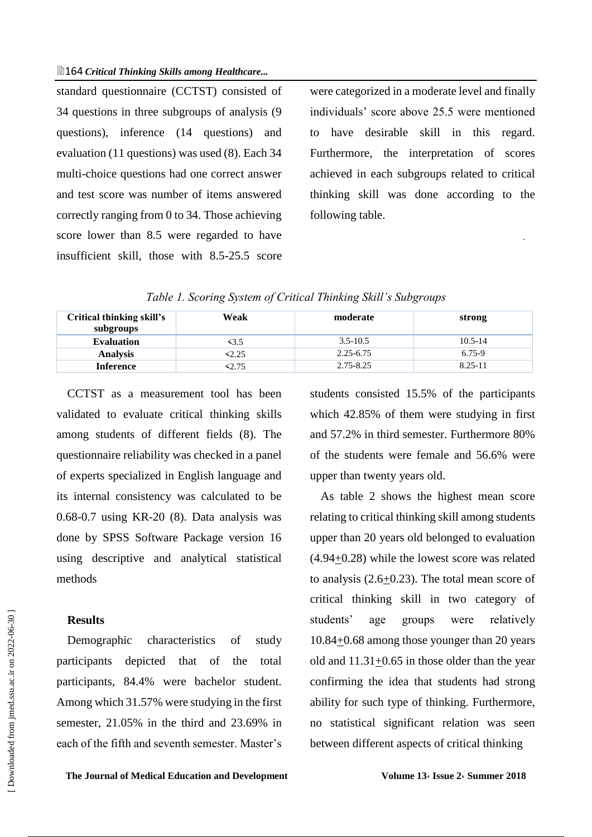standard questionnaire (CCTST) consisted of 34 questions in three subgroups of analysis (9 questions), inference (14 questions) and evaluation (11 questions) was used (8). Each 34 multi-choice questions had one correct answer and test score was number of items answered correctly ranging from 0 to 34. Those achieving score lower than 8.5 were regarded to have insufficient skill, those with 8.5-25.5 score

were categorized in a moderate level and finally individuals' score above 25.5 were mentioned to have desirable skill in this regard. Furthermore, the interpretation of scores achieved in each subgroups related to critical thinking skill was done according to the following table.

.

| Critical thinking skill's<br>subgroups | Weak  | moderate      | strong      |
|----------------------------------------|-------|---------------|-------------|
| <b>Evaluation</b>                      | <3.5  | $3.5 - 10.5$  | $10.5 - 14$ |
| <b>Analysis</b>                        | 2.25  | $2.25 - 6.75$ | 6.75-9      |
| <b>Inference</b>                       | 52.75 | $2.75 - 8.25$ | 8.25-11     |

*Table 1. Scoring System of Critical Thinking Skill's Subgroups*

CCTST as a measurement tool has been validated to evaluate critical thinking skills among students of different fields (8). The questionnaire reliability was checked in a panel of experts specialized in English language and its internal consistency was calculated to be 0.68-0.7 using KR-20 (8). Data analysis was done by SPSS Software Package version 16 using descriptive and analytical statistical methods

#### **Results**

Demographic characteristics of study participants depicted that of the total participants, 84.4% were bachelor student. Among which 31.57% were studying in the first semester, 21.05% in the third and 23.69% in each of the fifth and seventh semester. Master's students consisted 15.5% of the participants which 42.85% of them were studying in first and 57.2% in third semester. Furthermore 80% of the students were female and 56.6% were upper than twenty years old.

As table 2 shows the highest mean score relating to critical thinking skill among students upper than 20 years old belonged to evaluation  $(4.94+0.28)$  while the lowest score was related to analysis (2.6+0.23). The total mean score of critical thinking skill in two category of students' age groups were relatively 10.84+0.68 among those younger than 20 years old and 11.31+0.65 in those older than the year confirming the idea that students had strong ability for such type of thinking. Furthermore, no statistical significant relation was seen between different aspects of critical thinking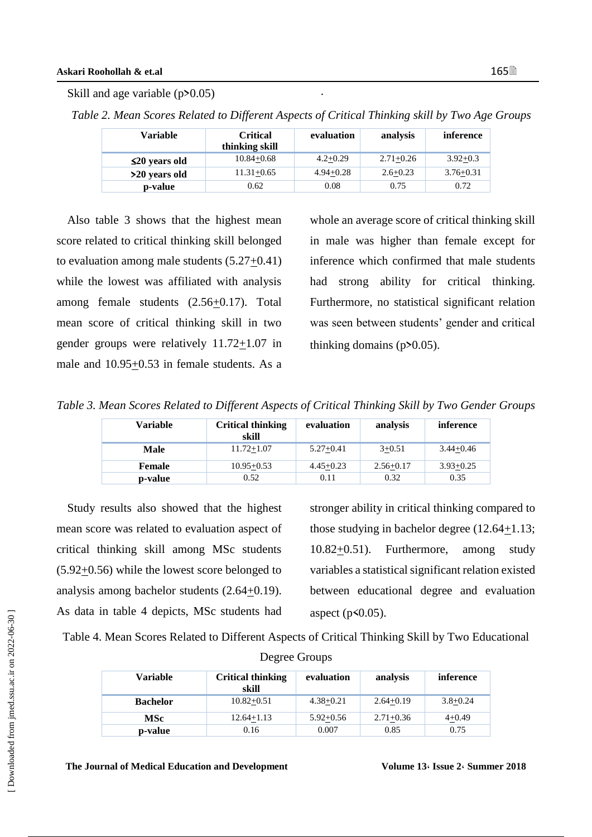#### Skill and age variable  $(p>0.05)$

*Table 2. Mean Scores Related to Different Aspects of Critical Thinking skill by Two Age Groups*

| Variable            | <b>Critical</b><br>thinking skill | evaluation    | analysis      | inference     |
|---------------------|-----------------------------------|---------------|---------------|---------------|
| $\leq$ 20 years old | $10.84 + 0.68$                    | $4.2 + 0.29$  | $2.71 + 0.26$ | $3.92+0.3$    |
| >20 years old       | $11.31 + 0.65$                    | $4.94 + 0.28$ | $2.6 + 0.23$  | $3.76 + 0.31$ |
| p-value             | 0.62                              | 0.08          | 0.75          | 0.72          |

Also table 3 shows that the highest mean score related to critical thinking skill belonged to evaluation among male students (5.27+0.41) while the lowest was affiliated with analysis among female students  $(2.56+0.17)$ . Total mean score of critical thinking skill in two gender groups were relatively  $11.72 \pm 1.07$  in male and 10.95+0.53 in female students. As a whole an average score of critical thinking skill in male was higher than female except for inference which confirmed that male students had strong ability for critical thinking. Furthermore, no statistical significant relation was seen between students' gender and critical thinking domains (p>0.05).

*Table 3. Mean Scores Related to Different Aspects of Critical Thinking Skill by Two Gender Groups*

| Variable      | <b>Critical thinking</b><br>skill | evaluation    | analysis      | inference     |
|---------------|-----------------------------------|---------------|---------------|---------------|
| Male          | $11.72 + 1.07$                    | $5.27 + 0.41$ | $3+0.51$      | $3.44 + 0.46$ |
| <b>Female</b> | $10.95 + 0.53$                    | $4.45 + 0.23$ | $2.56 + 0.17$ | $3.93 + 0.25$ |
| p-value       | 0.52                              | 0.11          | 0.32          | 0.35          |

Study results also showed that the highest mean score was related to evaluation aspect of critical thinking skill among MSc students  $(5.92 \pm 0.56)$  while the lowest score belonged to analysis among bachelor students  $(2.64 \pm 0.19)$ . As data in table 4 depicts, MSc students had stronger ability in critical thinking compared to those studying in bachelor degree (12.64+1.13; 10.82+0.51). Furthermore, among study variables a statistical significant relation existed between educational degree and evaluation aspect ( $p$ <0.05).

Table 4. Mean Scores Related to Different Aspects of Critical Thinking Skill by Two Educational

| Variable        | <b>Critical thinking</b><br>skill | evaluation    | analysis      | inference    |  |
|-----------------|-----------------------------------|---------------|---------------|--------------|--|
| <b>Bachelor</b> | $10.82 + 0.51$                    | $4.38 + 0.21$ | $2.64 + 0.19$ | $3.8 + 0.24$ |  |
| MSc             | $12.64 + 1.13$                    | $5.92+0.56$   | $2.71 + 0.36$ | $4 + 0.49$   |  |
| p-value         | 0.16                              | 0.007         | 0.85          | 0.75         |  |

Degree Groups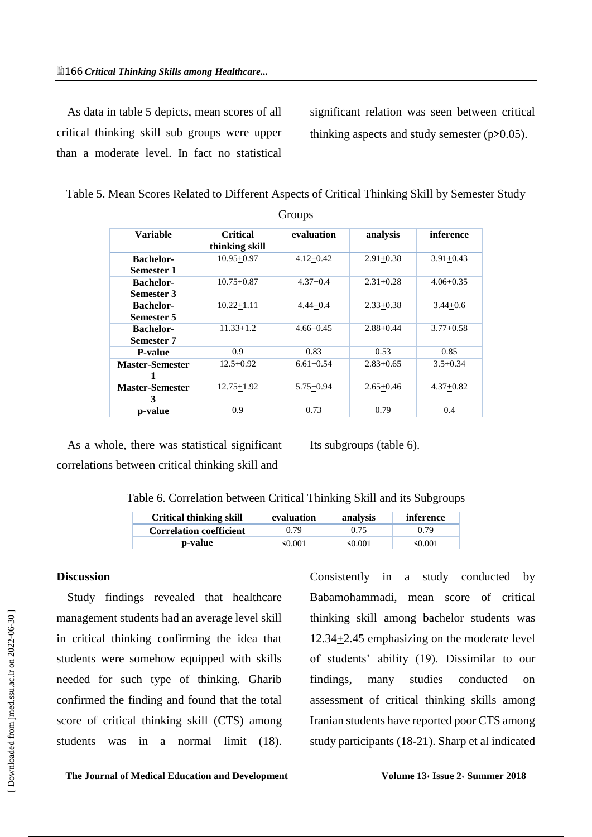As data in table 5 depicts, mean scores of all critical thinking skill sub groups were upper than a moderate level. In fact no statistical significant relation was seen between critical thinking aspects and study semester (p>0.05).

Table 5. Mean Scores Related to Different Aspects of Critical Thinking Skill by Semester Study **Groups** 

| ------                                |                                   |               |               |               |  |
|---------------------------------------|-----------------------------------|---------------|---------------|---------------|--|
| <b>Variable</b>                       | <b>Critical</b><br>thinking skill | evaluation    | analysis      | inference     |  |
| <b>Bachelor-</b>                      | $10.95 + 0.97$                    | $4.12 + 0.42$ | $2.91 + 0.38$ | $3.91 + 0.43$ |  |
| <b>Semester 1</b>                     |                                   |               |               |               |  |
| <b>Bachelor-</b><br><b>Semester 3</b> | $10.75 + 0.87$                    | $4.37 + 0.4$  | $2.31 + 0.28$ | $4.06 + 0.35$ |  |
| <b>Bachelor-</b><br>Semester 5        | $10.22 + 1.11$                    | $4.44 + 0.4$  | $2.33 + 0.38$ | $3.44 + 0.6$  |  |
| <b>Bachelor-</b><br>Semester 7        | $11.33 + 1.2$                     | $4.66 + 0.45$ | $2.88 + 0.44$ | $3.77 + 0.58$ |  |
| <b>P-value</b>                        | 0.9                               | 0.83          | 0.53          | 0.85          |  |
| <b>Master-Semester</b>                | $12.5 + 0.92$                     | $6.61 + 0.54$ | $2.83 + 0.65$ | $3.5 + 0.34$  |  |
| <b>Master-Semester</b><br>3           | $12.75 + 1.92$                    | $5.75 + 0.94$ | $2.65 + 0.46$ | $4.37 + 0.82$ |  |
| p-value                               | 0.9                               | 0.73          | 0.79          | 0.4           |  |

As a whole, there was statistical significant correlations between critical thinking skill and

Its subgroups (table 6).

Table 6. Correlation between Critical Thinking Skill and its Subgroups

| <b>Critical thinking skill</b> | evaluation | analysis | inference |
|--------------------------------|------------|----------|-----------|
| <b>Correlation coefficient</b> | 0.79       | 0.75     | 0.79      |
| p-value                        | 50.001     | 50.001   | 50.001    |

#### **Discussion**

Study findings revealed that healthcare management students had an average level skill in critical thinking confirming the idea that students were somehow equipped with skills needed for such type of thinking. Gharib confirmed the finding and found that the total score of critical thinking skill (CTS) among students was in a normal limit (18). Consistently in a study conducted by Babamohammadi, mean score of critical thinking skill among bachelor students was 12.34+2.45 emphasizing on the moderate level of students' ability (19). Dissimilar to our findings, many studies conducted on assessment of critical thinking skills among Iranian students have reported poor CTS among study participants (18-21). Sharp et al indicated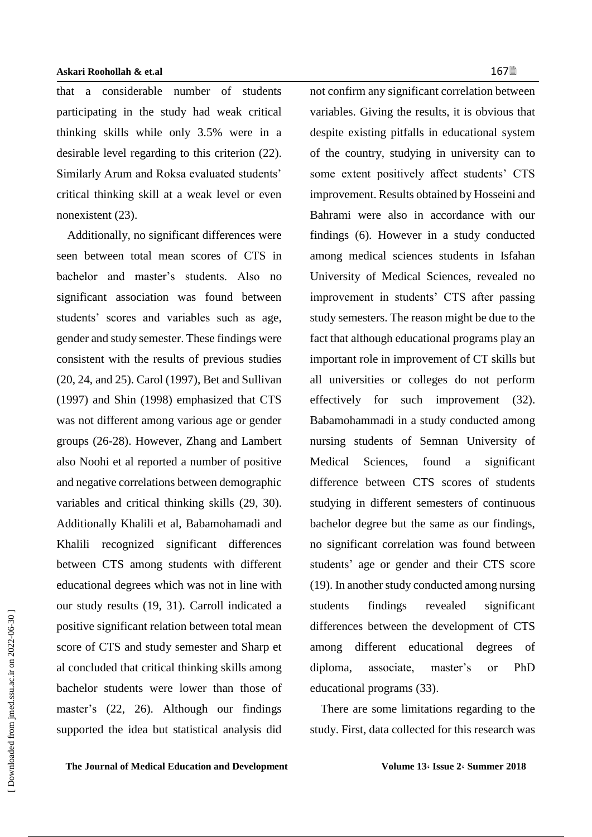that a considerable number of students participating in the study had weak critical thinking skills while only 3.5% were in a desirable level regarding to this criterion (22). Similarly Arum and Roksa evaluated students' critical thinking skill at a weak level or even nonexistent (23).

Additionally, no significant differences were seen between total mean scores of CTS in bachelor and master's students. Also no significant association was found between students' scores and variables such as age, gender and study semester. These findings were consistent with the results of previous studies (20, 24, and 25). Carol (1997), Bet and Sullivan (1997) and Shin (1998) emphasized that CTS was not different among various age or gender groups (26-28). However, Zhang and Lambert also Noohi et al reported a number of positive and negative correlations between demographic variables and critical thinking skills (29, 30). Additionally Khalili et al, Babamohamadi and Khalili recognized significant differences between CTS among students with different educational degrees which was not in line with our study results (19, 31). Carroll indicated a positive significant relation between total mean score of CTS and study semester and Sharp et al concluded that critical thinking skills among bachelor students were lower than those of master's (22, 26). Although our findings supported the idea but statistical analysis did

not confirm any significant correlation between variables. Giving the results, it is obvious that despite existing pitfalls in educational system of the country, studying in university can to some extent positively affect students' CTS improvement. Results obtained by Hosseini and Bahrami were also in accordance with our findings (6). However in a study conducted among medical sciences students in Isfahan University of Medical Sciences, revealed no improvement in students' CTS after passing study semesters. The reason might be due to the fact that although educational programs play an important role in improvement of CT skills but all universities or colleges do not perform effectively for such improvement (32). Babamohammadi in a study conducted among nursing students of Semnan University of Medical Sciences, found a significant difference between CTS scores of students studying in different semesters of continuous bachelor degree but the same as our findings, no significant correlation was found between students' age or gender and their CTS score (19). In another study conducted among nursing students findings revealed significant differences between the development of CTS among different educational degrees of diploma, associate, master's or PhD educational programs (33).

There are some limitations regarding to the study. First, data collected for this research was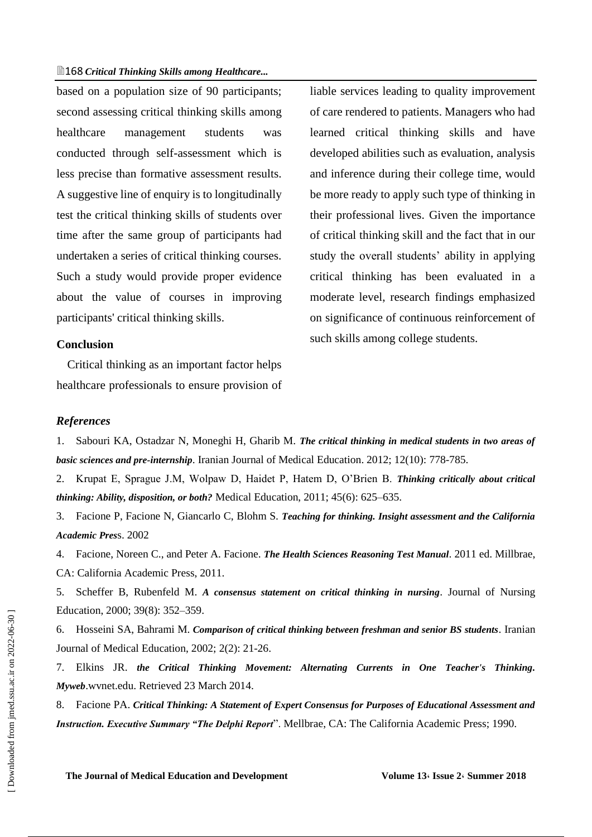based on a population size of 90 participants; second assessing critical thinking skills among healthcare management students was conducted through self-assessment which is less precise than formative assessment results. A suggestive line of enquiry is to longitudinally test the critical thinking skills of students over time after the same group of participants had undertaken a series of critical thinking courses. Such a study would provide proper evidence about the value of courses in improving participants' critical thinking skills.

#### **Conclusion**

Critical thinking as an important factor helps healthcare professionals to ensure provision of liable services leading to quality improvement of care rendered to patients. Managers who had learned critical thinking skills and have developed abilities such as evaluation, analysis and inference during their college time, would be more ready to apply such type of thinking in their professional lives. Given the importance of critical thinking skill and the fact that in our study the overall students' ability in applying critical thinking has been evaluated in a moderate level, research findings emphasized on significance of continuous reinforcement of such skills among college students.

#### *References*

1. Sabouri KA, Ostadzar N, Moneghi H, Gharib M. *The critical thinking in medical students in two areas of basic sciences and pre-internship*. Iranian Journal of Medical Education. 2012; 12(10): 778-785.

2. Krupat E, Sprague J.M, Wolpaw D, Haidet P, Hatem D, O'Brien B. *Thinking critically about critical thinking: Ability, disposition, or both?* Medical Education, 2011; 45(6): 625–635.

3. Facione P, Facione N, Giancarlo C, Blohm S. *Teaching for thinking. Insight assessment and the California Academic Pres*s. 2002

4. Facione, Noreen C., and Peter A. Facione. *The Health Sciences Reasoning Test Manual*. 2011 ed. Millbrae, CA: California Academic Press, 2011.

5. Scheffer B, Rubenfeld M. *A consensus statement on critical thinking in nursing*. Journal of Nursing Education, 2000; 39(8): 352–359.

6. Hosseini SA, Bahrami M. *Comparison of critical thinking between freshman and senior BS students*. Iranian Journal of Medical Education, 2002; 2(2): 21-26.

7. Elkins JR. *[the Critical Thinking Movement: Alternating Currents in One Teacher's Thinking.](http://myweb.wvnet.edu/~jelkins/critproj/overview.html) Myweb*.wvnet.edu. Retrieved 23 March 2014.

8. Facione PA. *Critical Thinking: A Statement of Expert Consensus for Purposes of Educational Assessment and Instruction. Executive Summary "The Delphi Report*". Mellbrae, CA: The California Academic Press; 1990.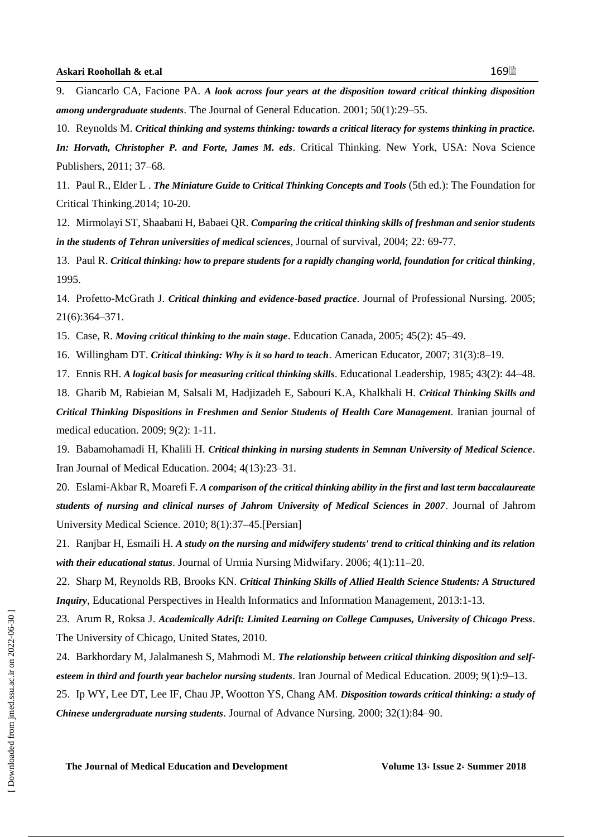10. Reynolds M. *Critical thinking and systems thinking: towards a critical literacy for systems thinking in practice. In: Horvath, Christopher P. and Forte, James M. eds*. Critical Thinking. New York, USA: Nova Science Publishers, 2011; 37–68.

11. Paul R., Elder L . *The Miniature Guide to Critical Thinking Concepts and Tools* (5th ed.): The Foundation for Critical Thinking.2014; 10-20.

12. Mirmolayi ST, Shaabani H, Babaei QR. *Comparing the critical thinking skills of freshman and senior students in the students of Tehran universities of medical sciences*, Journal of survival, 2004; 22: 69-77.

13. Paul R. *Critical thinking: how to prepare students for a rapidly changing world, foundation for critical thinking*, 1995.

14. Profetto-McGrath J. *Critical thinking and evidence-based practice*. Journal of Professional Nursing. 2005; 21(6):364–371.

15. Case, R. *Moving critical thinking to the main stage*. Education Canada, 2005; 45(2): 45–49.

16. Willingham DT. *Critical thinking: Why is it so hard to teach*. American Educator, 2007; 31(3):8–19.

17. Ennis RH. *A logical basis for measuring critical thinking skills*. Educational Leadership, 1985; 43(2): 44–48.

18. Gharib M, Rabieian M, Salsali M, Hadjizadeh E, Sabouri K.A, Khalkhali H. *Critical Thinking Skills and Critical Thinking Dispositions in Freshmen and Senior Students of Health Care Management*. Iranian journal of medical education. 2009; 9(2): 1-11.

19. Babamohamadi H, Khalili H. *Critical thinking in nursing students in Semnan University of Medical Science*. Iran Journal of Medical Education. 2004; 4(13):23–31.

20. Eslami-Akbar R, Moarefi F*. A comparison of the critical thinking ability in the first and last term baccalaureate students of nursing and clinical nurses of Jahrom University of Medical Sciences in 2007*. Journal of Jahrom University Medical Science. 2010; 8(1):37–45.[Persian]

21. Ranjbar H, Esmaili H. *A study on the nursing and midwifery students' trend to critical thinking and its relation with their educational status*. Journal of Urmia Nursing Midwifary. 2006; 4(1):11–20.

22. Sharp M, Reynolds RB, Brooks KN. *Critical Thinking Skills of Allied Health Science Students: A Structured Inquiry*, [Educational Perspectives in Health Informatics and Information Management,](http://bok.ahima.org/searchresults?q=&fqo=SOURCE|%22Educational%20Perspectives%20in%20Health%20Informatics%20and%20Information%20Management%22&s=1&v=1&num=10) 2013:1-13.

23. Arum R, Roksa J. *Academically Adrift: Limited Learning on College Campuses, University of Chicago Press*. The University of Chicago, United States, 2010.

24. Barkhordary M, Jalalmanesh S, Mahmodi M. *The relationship between critical thinking disposition and selfesteem in third and fourth year bachelor nursing students*. Iran Journal of Medical Education. 2009; 9(1):9–13.

25. Ip WY, Lee DT, Lee IF, Chau JP, Wootton YS, Chang AM. *Disposition towards critical thinking: a study of Chinese undergraduate nursing students*. Journal of Advance Nursing. 2000; 32(1):84–90.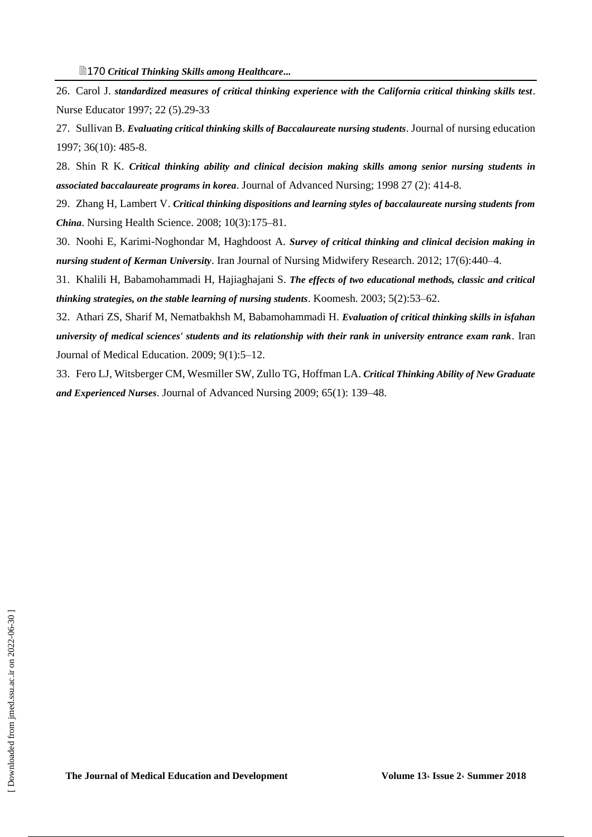26. Carol J. *standardized measures of critical thinking experience with the California critical thinking skills test*. Nurse Educator 1997; 22 (5).29-33

27. Sullivan B. *Evaluating critical thinking skills of Baccalaureate nursing students*. Journal of nursing education 1997; 36(10): 485-8.

28. Shin R K. *Critical thinking ability and clinical decision making skills among senior nursing students in associated baccalaureate programs in korea*. Journal of Advanced Nursing; 1998 27 (2): 414-8.

29. Zhang H, Lambert V. *Critical thinking dispositions and learning styles of baccalaureate nursing students from China*. Nursing Health Science. 2008; 10(3):175–81.

30. Noohi E, Karimi-Noghondar M, Haghdoost A. *Survey of critical thinking and clinical decision making in nursing student of Kerman University*. Iran Journal of Nursing Midwifery Research. 2012; 17(6):440–4.

31. Khalili H, Babamohammadi H, Hajiaghajani S. *The effects of two educational methods, classic and critical thinking strategies, on the stable learning of nursing students*. Koomesh. 2003; 5(2):53–62.

32. Athari ZS, Sharif M, Nematbakhsh M, Babamohammadi H. *Evaluation of critical thinking skills in isfahan university of medical sciences' students and its relationship with their rank in university entrance exam rank*. Iran Journal of Medical Education. 2009; 9(1):5–12.

33. Fero LJ, Witsberger CM, Wesmiller SW, Zullo TG, Hoffman LA. *Critical Thinking Ability of New Graduate and Experienced Nurses*. Journal of Advanced Nursing 2009; 65(1): 139–48.